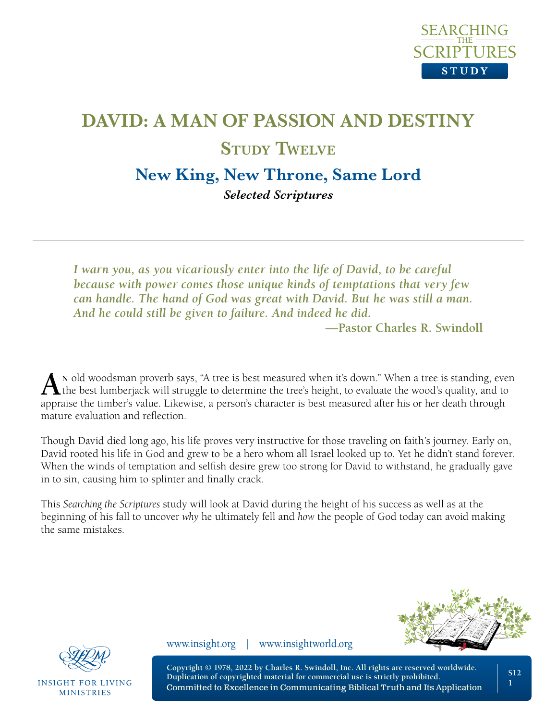

# **DAVID: A MAN OF PASSION AND DESTINY Study Twelve**

**New King, New Throne, Same Lord**

*Selected Scriptures* 

*I warn you, as you vicariously enter into the life of David, to be careful because with power comes those unique kinds of temptations that very few can handle. The hand of God was great with David. But he was still a man. And he could still be given to failure. And indeed he did.*

**—Pastor Charles R. Swindoll**

**An** old woodsman proverb says, "A tree is best measured when it's down." When a tree is standing, even the best lumberjack will struggle to determine the tree's height, to evaluate the wood's quality, and to appraise the timber's value. Likewise, a person's character is best measured after his or her death through mature evaluation and reflection.

Though David died long ago, his life proves very instructive for those traveling on faith's journey. Early on, David rooted his life in God and grew to be a hero whom all Israel looked up to. Yet he didn't stand forever. When the winds of temptation and selfish desire grew too strong for David to withstand, he gradually gave in to sin, causing him to splinter and finally crack.

This *Searching the Scriptures* study will look at David during the height of his success as well as at the beginning of his fall to uncover *why* he ultimately fell and *how* the people of God today can avoid making the same mistakes.





**INSIGHT FOR LIVING MINISTRIES** 

www.insight.org | www.insightworld.org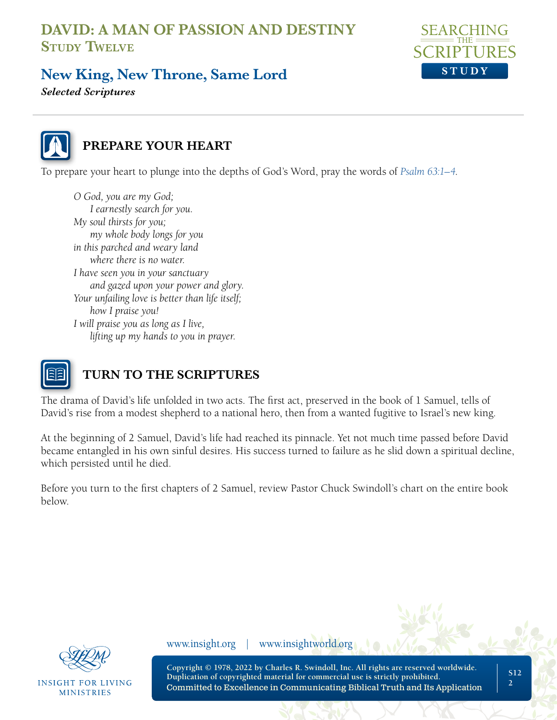

# **New King, New Throne, Same Lord**

*Selected Scriptures* 



#### **PREPARE YOUR HEART**

To prepare your heart to plunge into the depths of God's Word, pray the words of *[Psalm 63:1–4](https://www.biblegateway.com/passage/?search=Psalm+63&version=NLT;NASB1995)*.

*O God, you are my God; I earnestly search for you. My soul thirsts for you; my whole body longs for you in this parched and weary land where there is no water. I have seen you in your sanctuary and gazed upon your power and glory. Your unfailing love is better than life itself; how I praise you! I will praise you as long as I live, lifting up my hands to you in prayer.* 



#### **TURN TO THE SCRIPTURES**

The drama of David's life unfolded in two acts. The first act, preserved in the book of 1 Samuel, tells of David's rise from a modest shepherd to a national hero, then from a wanted fugitive to Israel's new king.

At the beginning of 2 Samuel, David's life had reached its pinnacle. Yet not much time passed before David became entangled in his own sinful desires. His success turned to failure as he slid down a spiritual decline, which persisted until he died.

Before you turn to the first chapters of 2 Samuel, review Pastor Chuck Swindoll's chart on the entire book below.



**INSIGHT FOR LIVING MINISTRIES** 

www.insight.org | www.insightworld.org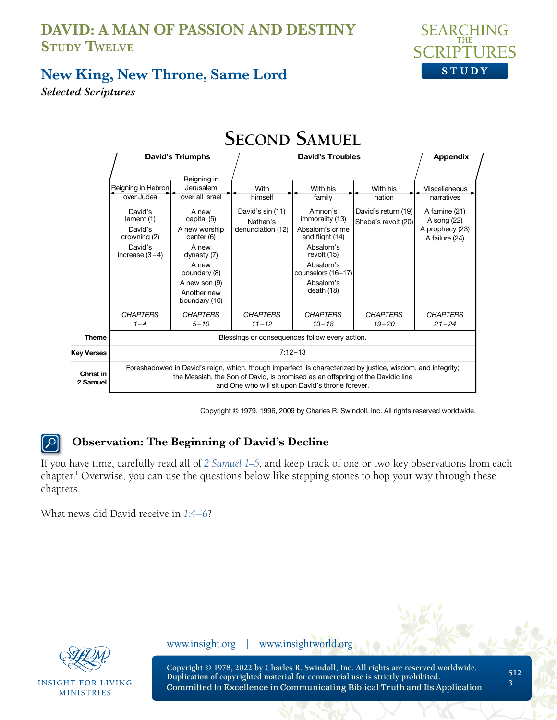

#### **New King, New Throne, Same Lord**

*Selected Scriptures* 

|                       | <b>SECOND SAMUEL</b>                                                                                                                                                                                                                               |                                                                                                                                                                                                      |                                                                      |                                                                                                                                                                                  |                                                                  |                                                                                                  |  |
|-----------------------|----------------------------------------------------------------------------------------------------------------------------------------------------------------------------------------------------------------------------------------------------|------------------------------------------------------------------------------------------------------------------------------------------------------------------------------------------------------|----------------------------------------------------------------------|----------------------------------------------------------------------------------------------------------------------------------------------------------------------------------|------------------------------------------------------------------|--------------------------------------------------------------------------------------------------|--|
|                       | <b>David's Triumphs</b>                                                                                                                                                                                                                            |                                                                                                                                                                                                      | <b>David's Troubles</b>                                              |                                                                                                                                                                                  |                                                                  | <b>Appendix</b>                                                                                  |  |
|                       | Reigning in Hebron<br>over Judea<br>David's<br>lament (1)<br>David's<br>crowning (2)<br>David's<br>increase $(3-4)$                                                                                                                                | Reigning in<br>Jerusalem<br>over all Israel<br>A new<br>capital (5)<br>A new worship<br>center (6)<br>A new<br>dynasty (7)<br>A new<br>boundary (8)<br>A new son (9)<br>Another new<br>boundary (10) | With<br>himself<br>David's sin (11)<br>Nathan's<br>denunciation (12) | With his<br>family<br>Amnon's<br>immorality (13)<br>Absalom's crime<br>and flight (14)<br>Absalom's<br>revolt (15)<br>Absalom's<br>counselors (16-17)<br>Absalom's<br>death (18) | With his<br>nation<br>David's return (19)<br>Sheba's revolt (20) | Miscellaneous<br>narratives<br>A famine (21)<br>A song (22)<br>A prophecy (23)<br>A failure (24) |  |
|                       | <b>CHAPTERS</b><br>$1 - 4$                                                                                                                                                                                                                         | <b>CHAPTERS</b><br>$5 - 10$                                                                                                                                                                          | <b>CHAPTERS</b><br>$11 - 12$                                         | <b>CHAPTERS</b><br>$13 - 18$                                                                                                                                                     | <b>CHAPTERS</b><br>$19 - 20$                                     | <b>CHAPTERS</b><br>$21 - 24$                                                                     |  |
| <b>Theme</b>          | Blessings or consequences follow every action.                                                                                                                                                                                                     |                                                                                                                                                                                                      |                                                                      |                                                                                                                                                                                  |                                                                  |                                                                                                  |  |
| <b>Key Verses</b>     | $7:12 - 13$                                                                                                                                                                                                                                        |                                                                                                                                                                                                      |                                                                      |                                                                                                                                                                                  |                                                                  |                                                                                                  |  |
| Christ in<br>2 Samuel | Foreshadowed in David's reign, which, though imperfect, is characterized by justice, wisdom, and integrity;<br>the Messiah, the Son of David, is promised as an offspring of the Davidic line<br>and One who will sit upon David's throne forever. |                                                                                                                                                                                                      |                                                                      |                                                                                                                                                                                  |                                                                  |                                                                                                  |  |

Copyright © 1979, 1996, 2009 by Charles R. Swindoll, Inc. All rights reserved worldwide.

#### **Observation: The Beginning of David's Decline**  $\vert \mathcal{Q} \vert$

If you have time, carefully read all of *[2 Samuel 1–5](https://www.biblegateway.com/passage/?search=2%20Samuel%201%E2%80%935&version=NLT;NASB1995)*, and keep track of one or two key observations from each chapter.<sup>1</sup> Overwise, you can use the questions below like stepping stones to hop your way through these chapters.

What news did David receive in *[1:4–6](https://www.biblegateway.com/passage/?search=2+Samuel+1%3A4%E2%80%936&version=NLT;NASB1995)*?



**INSIGHT FOR LIVING MINISTRIES** 

www.insight.org | www.insightworld.org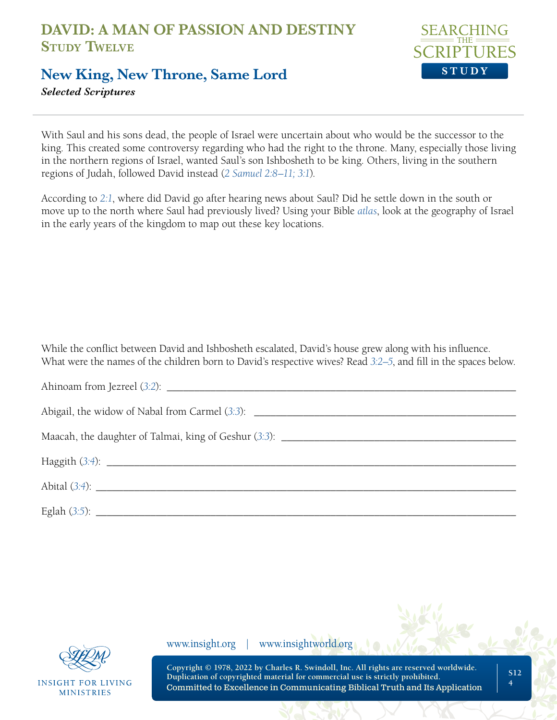

#### **New King, New Throne, Same Lord**

*Selected Scriptures* 

With Saul and his sons dead, the people of Israel were uncertain about who would be the successor to the king. This created some controversy regarding who had the right to the throne. Many, especially those living in the northern regions of Israel, wanted Saul's son Ishbosheth to be king. Others, living in the southern regions of Judah, followed David instead (*[2 Samuel 2:8–11; 3:1](https://www.biblegateway.com/passage/?search=2+Samuel+2%3A8%E2%80%9311%3B+3%3A1&version=NLT;NASB1995)*).

According to *[2:1](https://www.biblegateway.com/passage/?search=2+Samuel+2%3A1&version=NLT;NASB1995)*, where did David go after hearing news about Saul? Did he settle down in the south or move up to the north where Saul had previously lived? Using your Bible *[atlas](https://insightforliving.swncdn.com/docs/ifl-usa/content/ascendio/maps/NLT_maps_from_Tyndale6.pdf)*, look at the geography of Israel in the early years of the kingdom to map out these key locations.

While the conflict between David and Ishbosheth escalated, David's house grew along with his influence. What were the names of the children born to David's respective wives? Read *[3:2–5](https://www.biblegateway.com/passage/?search=2+Samuel+3%3A2%E2%80%935&version=NLT;NASB1995)*, and fill in the spaces below.



**INSIGHT FOR LIVING MINISTRIES** 

www.insight.org | www.insightworld.org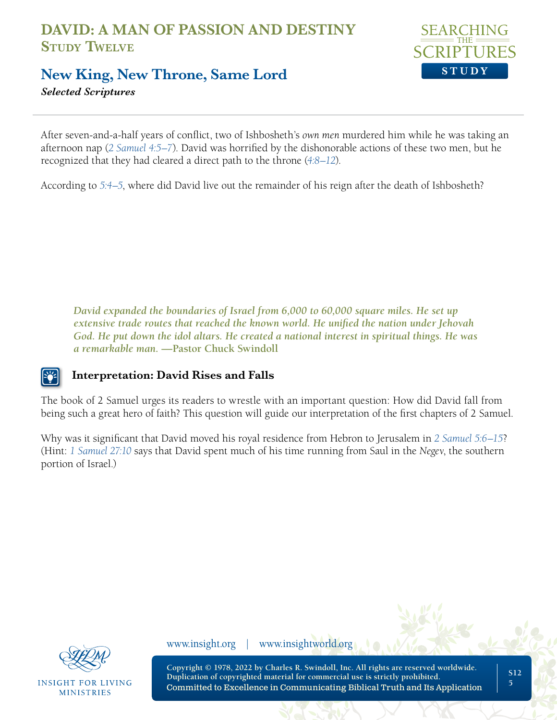

#### **New King, New Throne, Same Lord**

*Selected Scriptures* 

After seven-and-a-half years of conflict, two of Ishbosheth's *own men* murdered him while he was taking an afternoon nap (*[2 Samuel 4:5–7](https://www.biblegateway.com/passage/?search=2+Samuel+4%3A5%E2%80%937&version=NLT;NASB1995)*). David was horrified by the dishonorable actions of these two men, but he recognized that they had cleared a direct path to the throne (*[4:8–12](https://www.biblegateway.com/passage/?search=2+Samuel+4%3A8%E2%80%9312&version=NLT;NASB1995)*).

According to *[5:4–5](https://www.biblegateway.com/passage/?search=2+Samuel+5%3A4%E2%80%935&version=NLT;NASB1995)*, where did David live out the remainder of his reign after the death of Ishbosheth?

*David expanded the boundaries of Israel from 6,000 to 60,000 square miles. He set up extensive trade routes that reached the known world. He unified the nation under Jehovah God. He put down the idol altars. He created a national interest in spiritual things. He was a remarkable man.* **—Pastor Chuck Swindoll**

#### **Interpretation: David Rises and Falls**

The book of 2 Samuel urges its readers to wrestle with an important question: How did David fall from being such a great hero of faith? This question will guide our interpretation of the first chapters of 2 Samuel.

Why was it significant that David moved his royal residence from Hebron to Jerusalem in *[2 Samuel 5:6–15](https://www.biblegateway.com/passage/?search=2+Samuel+5%3A6%E2%80%9315&version=NLT;NASB1995)*? (Hint: *[1 Samuel 27:10](https://www.biblegateway.com/passage/?search=1%20Samuel%2027%3A10%20&version=NLT;NASB1995)* says that David spent much of his time running from Saul in the *Negev*, the southern portion of Israel.)



**INSIGHT FOR LIVING MINISTRIES** 

www.insight.org | www.insightworld.org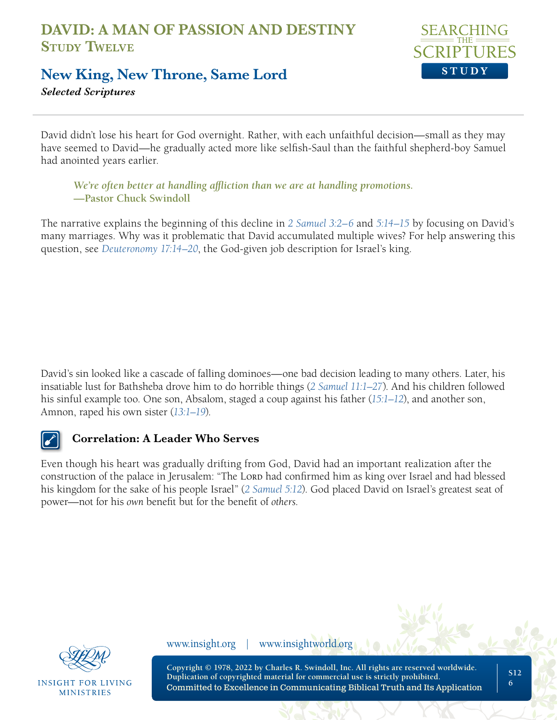

#### **New King, New Throne, Same Lord**

*Selected Scriptures* 

David didn't lose his heart for God overnight. Rather, with each unfaithful decision—small as they may have seemed to David—he gradually acted more like selfish-Saul than the faithful shepherd-boy Samuel had anointed years earlier.

*We're often better at handling affliction than we are at handling promotions.*  **—Pastor Chuck Swindoll**

The narrative explains the beginning of this decline in *[2 Samuel 3:2–6](https://www.biblegateway.com/passage/?search=2+Samuel+3%3A2%E2%80%936+&version=NLT;NASB1995)* and *[5:14–15](https://www.biblegateway.com/passage/?search=2+Samuel+5%3A14%E2%80%9315&version=NLT;NASB1995)* by focusing on David's many marriages. Why was it problematic that David accumulated multiple wives? For help answering this question, see *[Deuteronomy 17:14–20](https://www.biblegateway.com/passage/?search=Deuteronomy+17%3A14%E2%80%9320+&version=NLT;NASB1995)*, the God-given job description for Israel's king.

David's sin looked like a cascade of falling dominoes—one bad decision leading to many others. Later, his insatiable lust for Bathsheba drove him to do horrible things (*[2 Samuel 11:1–27](https://www.biblegateway.com/passage/?search=2+Samuel+11%3A1%E2%80%9327&version=NLT;NASB1995)*). And his children followed his sinful example too. One son, Absalom, staged a coup against his father (*[15:1–12](https://www.biblegateway.com/passage/?search=2+Samuel+15%3A1%E2%80%9312&version=NLT;NASB1995)*), and another son, Amnon, raped his own sister (*[13:1–19](https://www.biblegateway.com/passage/?search=2+Samuel+13%3A1%E2%80%9319&version=NLT;NASB1995)*).

#### **Correlation: A Leader Who Serves**

Even though his heart was gradually drifting from God, David had an important realization after the construction of the palace in Jerusalem: "The Lorp had confirmed him as king over Israel and had blessed his kingdom for the sake of his people Israel" (*[2 Samuel 5:12](https://www.biblegateway.com/passage/?search=2+Samuel+5%3A12&version=NLT;NASB1995)*). God placed David on Israel's greatest seat of power—not for his *own* benefit but for the benefit of *others*.

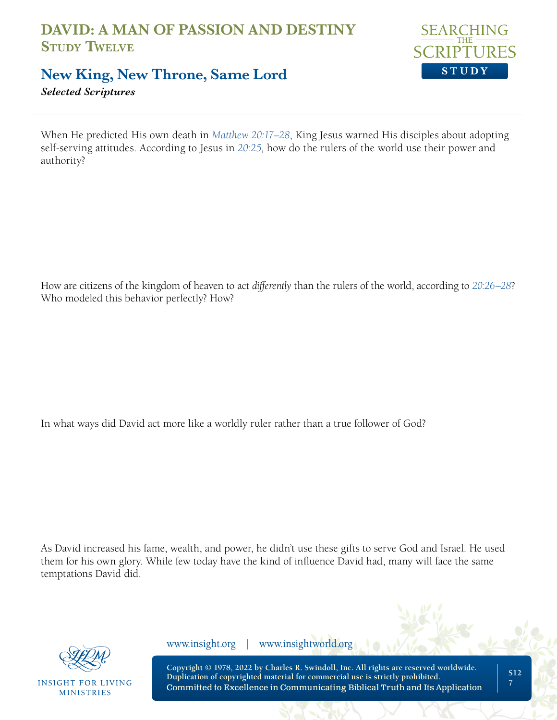

### **New King, New Throne, Same Lord**

*Selected Scriptures* 

When He predicted His own death in *[Matthew 20:17–28](https://www.biblegateway.com/passage/?search=Matthew+20%3A17%E2%80%9328&version=NLT;NASB1995)*, King Jesus warned His disciples about adopting self-serving attitudes. According to Jesus in *[20:25](https://www.biblegateway.com/passage/?search=Matthew+20%3A25&version=NLT;NASB1995)*, how do the rulers of the world use their power and authority?

How are citizens of the kingdom of heaven to act *differently* than the rulers of the world, according to *[20:26–28](https://www.biblegateway.com/passage/?search=Matthew+20%3A26%E2%80%9328&version=NLT;NASB1995)*? Who modeled this behavior perfectly? How?

In what ways did David act more like a worldly ruler rather than a true follower of God?

As David increased his fame, wealth, and power, he didn't use these gifts to serve God and Israel. He used them for his own glory. While few today have the kind of influence David had, many will face the same temptations David did.



**INSIGHT FOR LIVING MINISTRIES** 

www.insight.org | www.insightworld.org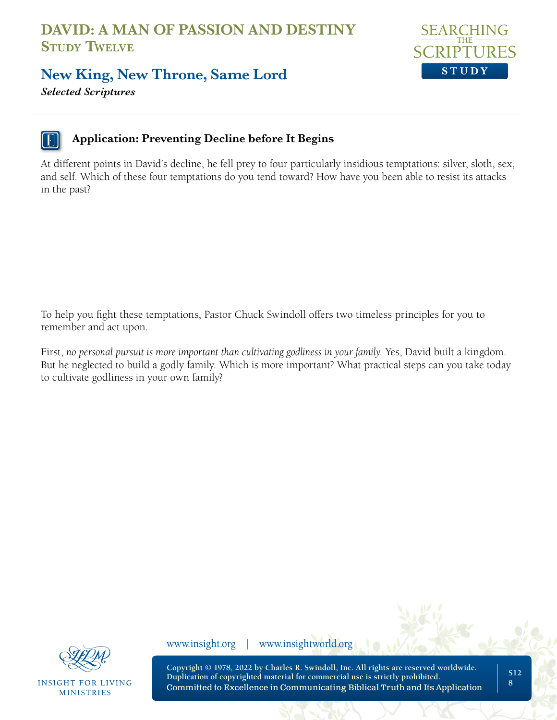

#### **New King, New Throne, Same Lord**

*Selected Scriptures* 



#### **Application: Preventing Decline before It Begins**

At different points in David's decline, he fell prey to four particularly insidious temptations: silver, sloth, sex, and self. Which of these four temptations do you tend toward? How have you been able to resist its attacks in the past?

To help you fight these temptations, Pastor Chuck Swindoll offers two timeless principles for you to remember and act upon.

First, *no personal pursuit is more important than cultivating godliness in your family.* Yes, David built a kingdom. But he neglected to build a godly family. Which is more important? What practical steps can you take today to cultivate godliness in your own family?



**INSIGHT FOR LIVING MINISTRIES** 

www.insight.org | www.insightworld.org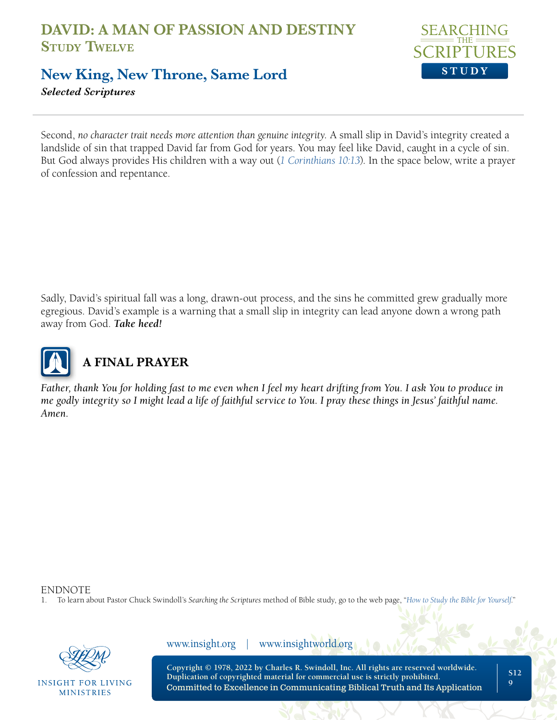

### **New King, New Throne, Same Lord**

*Selected Scriptures* 

Second, *no character trait needs more attention than genuine integrity.* A small slip in David's integrity created a landslide of sin that trapped David far from God for years. You may feel like David, caught in a cycle of sin. But God always provides His children with a way out (*[1 Corinthians 10:13](https://www.biblegateway.com/passage/?search=1+Corinthians+10%3A13&version=NLT;NASB1995)*). In the space below, write a prayer of confession and repentance.

Sadly, David's spiritual fall was a long, drawn-out process, and the sins he committed grew gradually more egregious. David's example is a warning that a small slip in integrity can lead anyone down a wrong path away from God. *Take heed!*



# **A FINAL PRAYER**

*Father, thank You for holding fast to me even when I feel my heart drifting from You. I ask You to produce in me godly integrity so I might lead a life of faithful service to You. I pray these things in Jesus' faithful name. Amen.*

ENDNOTE

1. To learn about Pastor Chuck Swindoll's *Searching the Scriptures* method of Bible study, go to the web page, "*[How to Study the Bible for Yourself](https://sts.insight.org/)*."



INSIGHT FOR LIVING **MINISTRIES** 

www.insight.org | www.insightworld.org